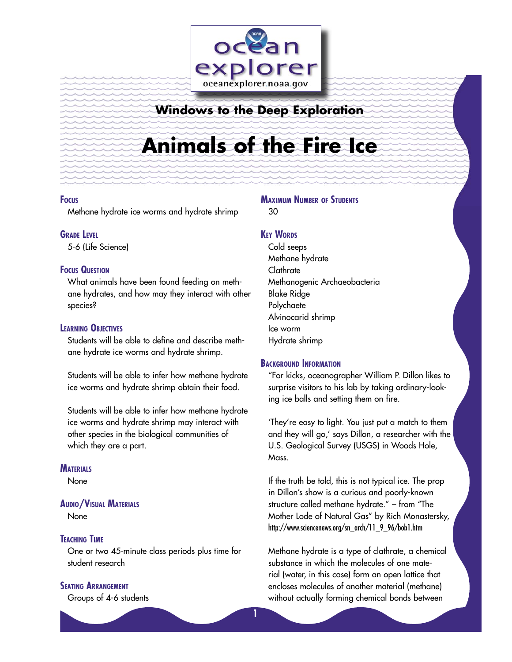

# **Windows to the Deep Exploration**

# **Animals of the Fire Ice**

#### **FOCUS**

Methane hydrate ice worms and hydrate shrimp

# **GRADE LEVEL**

5-6 (Life Science)

#### **FOCUS QUESTION**

What animals have been found feeding on methane hydrates, and how may they interact with other species?

### **LEARNING OBJECTIVES**

Students will be able to define and describe methane hydrate ice worms and hydrate shrimp.

Students will be able to infer how methane hydrate ice worms and hydrate shrimp obtain their food.

Students will be able to infer how methane hydrate ice worms and hydrate shrimp may interact with other species in the biological communities of which they are a part.

#### **MATERIALS**

None

### **AUDIO/VISUAL MATERIALS**

None

#### **TEACHING TIME**

One or two 45-minute class periods plus time for student research

# **SEATING ARRANGEMENT**

Groups of 4-6 students

# **MAXIMUM NUMBER OF STUDENTS**

30

**1**

# **KEY WORDS**

Cold seeps Methane hydrate **Clathrate** Methanogenic Archaeobacteria Blake Ridge Polychaete Alvinocarid shrimp Ice worm Hydrate shrimp

## **BACKGROUND INFORMATION**

"For kicks, oceanographer William P. Dillon likes to surprise visitors to his lab by taking ordinary-looking ice balls and setting them on fire.

'They're easy to light. You just put a match to them and they will go,' says Dillon, a researcher with the U.S. Geological Survey (USGS) in Woods Hole, Mass.

If the truth be told, this is not typical ice. The prop in Dillon's show is a curious and poorly-known structure called methane hydrate." – from "The Mother Lode of Natural Gas" by Rich Monastersky, http://www.sciencenews.org/sn\_arch/11\_9\_96/bob1.htm

Methane hydrate is a type of clathrate, a chemical substance in which the molecules of one material (water, in this case) form an open lattice that encloses molecules of another material (methane) without actually forming chemical bonds between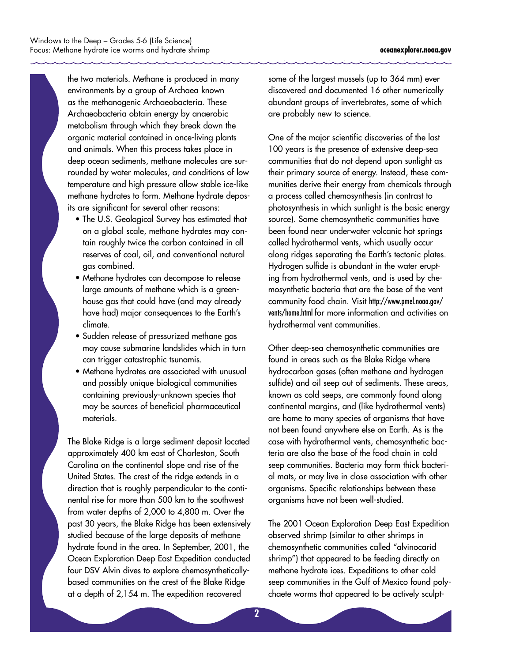the two materials. Methane is produced in many environments by a group of Archaea known as the methanogenic Archaeobacteria. These Archaeobacteria obtain energy by anaerobic metabolism through which they break down the organic material contained in once-living plants and animals. When this process takes place in deep ocean sediments, methane molecules are surrounded by water molecules, and conditions of low temperature and high pressure allow stable ice-like methane hydrates to form. Methane hydrate deposits are significant for several other reasons:

- The U.S. Geological Survey has estimated that on a global scale, methane hydrates may contain roughly twice the carbon contained in all reserves of coal, oil, and conventional natural gas combined.
- Methane hydrates can decompose to release large amounts of methane which is a greenhouse gas that could have (and may already have had) major consequences to the Earth's climate.
- Sudden release of pressurized methane gas may cause submarine landslides which in turn can trigger catastrophic tsunamis.
- Methane hydrates are associated with unusual and possibly unique biological communities containing previously-unknown species that may be sources of beneficial pharmaceutical materials.

The Blake Ridge is a large sediment deposit located approximately 400 km east of Charleston, South Carolina on the continental slope and rise of the United States. The crest of the ridge extends in a direction that is roughly perpendicular to the continental rise for more than 500 km to the southwest from water depths of 2,000 to 4,800 m. Over the past 30 years, the Blake Ridge has been extensively studied because of the large deposits of methane hydrate found in the area. In September, 2001, the Ocean Exploration Deep East Expedition conducted four DSV Alvin dives to explore chemosyntheticallybased communities on the crest of the Blake Ridge at a depth of 2,154 m. The expedition recovered

some of the largest mussels (up to 364 mm) ever discovered and documented 16 other numerically abundant groups of invertebrates, some of which are probably new to science.

One of the major scientific discoveries of the last 100 years is the presence of extensive deep-sea communities that do not depend upon sunlight as their primary source of energy. Instead, these communities derive their energy from chemicals through a process called chemosynthesis (in contrast to photosynthesis in which sunlight is the basic energy source). Some chemosynthetic communities have been found near underwater volcanic hot springs called hydrothermal vents, which usually occur along ridges separating the Earth's tectonic plates. Hydrogen sulfide is abundant in the water erupting from hydrothermal vents, and is used by chemosynthetic bacteria that are the base of the vent community food chain. Visit http://www.pmel.noaa.gov/ vents/home.html for more information and activities on hydrothermal vent communities.

Other deep-sea chemosynthetic communities are found in areas such as the Blake Ridge where hydrocarbon gases (often methane and hydrogen sulfide) and oil seep out of sediments. These areas, known as cold seeps, are commonly found along continental margins, and (like hydrothermal vents) are home to many species of organisms that have not been found anywhere else on Earth. As is the case with hydrothermal vents, chemosynthetic bacteria are also the base of the food chain in cold seep communities. Bacteria may form thick bacterial mats, or may live in close association with other organisms. Specific relationships between these organisms have not been well-studied.

The 2001 Ocean Exploration Deep East Expedition observed shrimp (similar to other shrimps in chemosynthetic communities called "alvinocarid shrimp") that appeared to be feeding directly on methane hydrate ices. Expeditions to other cold seep communities in the Gulf of Mexico found polychaete worms that appeared to be actively sculpt-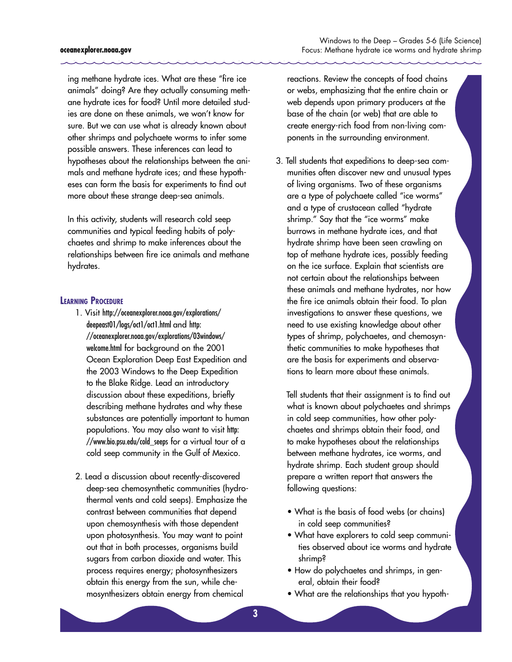ing methane hydrate ices. What are these "fire ice animals" doing? Are they actually consuming methane hydrate ices for food? Until more detailed studies are done on these animals, we won't know for sure. But we can use what is already known about other shrimps and polychaete worms to infer some possible answers. These inferences can lead to hypotheses about the relationships between the animals and methane hydrate ices; and these hypotheses can form the basis for experiments to find out more about these strange deep-sea animals.

In this activity, students will research cold seep communities and typical feeding habits of polychaetes and shrimp to make inferences about the relationships between fire ice animals and methane hydrates.

#### **LEARNING PROCEDURE**

- 1. Visit http://oceanexplorer.noaa.gov/explorations/ deepeast01/logs/oct1/oct1.html and http: //oceanexplorer.noaa.gov/explorations/03windows/ welcome.html for background on the 2001 Ocean Exploration Deep East Expedition and the 2003 Windows to the Deep Expedition to the Blake Ridge. Lead an introductory discussion about these expeditions, briefly describing methane hydrates and why these substances are potentially important to human populations. You may also want to visit http: //www.bio.psu.edu/cold\_seeps for a virtual tour of a cold seep community in the Gulf of Mexico.
- 2. Lead a discussion about recently-discovered deep-sea chemosynthetic communities (hydrothermal vents and cold seeps). Emphasize the contrast between communities that depend upon chemosynthesis with those dependent upon photosynthesis. You may want to point out that in both processes, organisms build sugars from carbon dioxide and water. This process requires energy; photosynthesizers obtain this energy from the sun, while chemosynthesizers obtain energy from chemical

Windows to the Deep – Grades 5-6 (Life Science) Focus: Methane hydrate ice worms and hydrate shrimp

reactions. Review the concepts of food chains or webs, emphasizing that the entire chain or web depends upon primary producers at the base of the chain (or web) that are able to create energy-rich food from non-living components in the surrounding environment.

3. Tell students that expeditions to deep-sea communities often discover new and unusual types of living organisms. Two of these organisms are a type of polychaete called "ice worms" and a type of crustacean called "hydrate shrimp." Say that the "ice worms" make burrows in methane hydrate ices, and that hydrate shrimp have been seen crawling on top of methane hydrate ices, possibly feeding on the ice surface. Explain that scientists are not certain about the relationships between these animals and methane hydrates, nor how the fire ice animals obtain their food. To plan investigations to answer these questions, we need to use existing knowledge about other types of shrimp, polychaetes, and chemosynthetic communities to make hypotheses that are the basis for experiments and observations to learn more about these animals.

 Tell students that their assignment is to find out what is known about polychaetes and shrimps in cold seep communities, how other polychaetes and shrimps obtain their food, and to make hypotheses about the relationships between methane hydrates, ice worms, and hydrate shrimp. Each student group should prepare a written report that answers the following questions:

- What is the basis of food webs (or chains) in cold seep communities?
- What have explorers to cold seep communities observed about ice worms and hydrate shrimp?
- How do polychaetes and shrimps, in general, obtain their food?
- What are the relationships that you hypoth-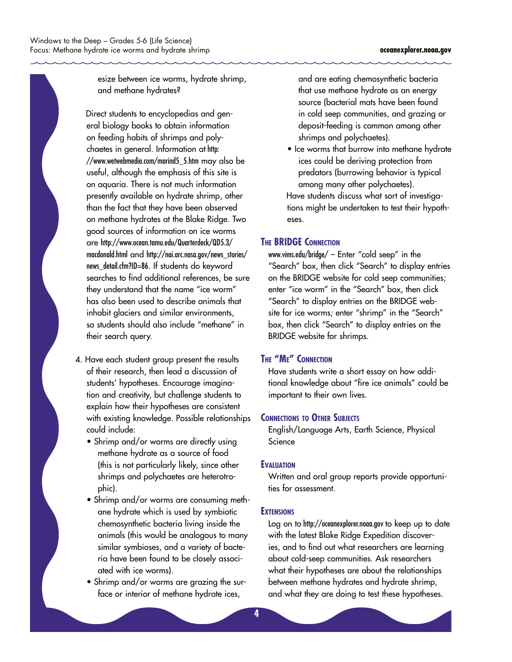

esize between ice worms, hydrate shrimp, and methane hydrates?

 Direct students to encyclopedias and general biology books to obtain information on feeding habits of shrimps and polychaetes in general. Information at http: //www.wetwebmedia.com/marind5\_5.htm may also be useful, although the emphasis of this site is on aquaria. There is not much information presently available on hydrate shrimp, other than the fact that they have been observed on methane hydrates at the Blake Ridge. Two good sources of information on ice worms are http://www.ocean.tamu.edu/Quarterdeck/QD5.3/ macdonald.html and http://nai.arc.nasa.gov/news\_stories/ news\_detail.cfm?ID=86. If students do keyword searches to find additional references, be sure they understand that the name "ice worm" has also been used to describe animals that inhabit glaciers and similar environments, so students should also include "methane" in their search query.

- 4. Have each student group present the results of their research, then lead a discussion of students' hypotheses. Encourage imagination and creativity, but challenge students to explain how their hypotheses are consistent with existing knowledge. Possible relationships could include:
	- Shrimp and/or worms are directly using methane hydrate as a source of food (this is not particularly likely, since other shrimps and polychaetes are heterotrophic).
	- Shrimp and/or worms are consuming methane hydrate which is used by symbiotic chemosynthetic bacteria living inside the animals (this would be analogous to many similar symbioses, and a variety of bacteria have been found to be closely associated with ice worms).
	- Shrimp and/or worms are grazing the surface or interior of methane hydrate ices,

and are eating chemosynthetic bacteria that use methane hydrate as an energy source (bacterial mats have been found in cold seep communities, and grazing or deposit-feeding is common among other shrimps and polychaetes).

• Ice worms that burrow into methane hydrate ices could be deriving protection from predators (burrowing behavior is typical among many other polychaetes). Have students discuss what sort of investigations might be undertaken to test their hypotheses.

#### **THE BRIDGE CONNECTION**

www.vims.edu/bridge/ – Enter "cold seep" in the "Search" box, then click "Search" to display entries on the BRIDGE website for cold seep communities; enter "ice worm" in the "Search" box, then click "Search" to display entries on the BRIDGE website for ice worms; enter "shrimp" in the "Search" box, then click "Search" to display entries on the BRIDGE website for shrimps.

# **THE "ME" CONNECTION**

Have students write a short essay on how additional knowledge about "fire ice animals" could be important to their own lives.

#### **CONNECTIONS TO OTHER SUBJECTS**

English/Language Arts, Earth Science, Physical Science

#### **EVALUATION**

Written and oral group reports provide opportunities for assessment.

#### **EXTENSIONS**

Log on to http://oceanexplorer.noaa.gov to keep up to date with the latest Blake Ridge Expedition discoveries, and to find out what researchers are learning about cold-seep communities. Ask researchers what their hypotheses are about the relationships between methane hydrates and hydrate shrimp, and what they are doing to test these hypotheses.